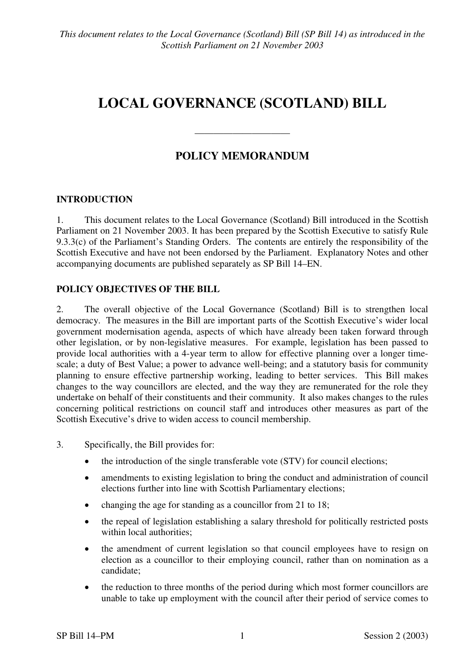# **LOCAL GOVERNANCE (SCOTLAND) BILL**

## **POLICY MEMORANDUM**

————————————————————

## **INTRODUCTION**

1. This document relates to the Local Governance (Scotland) Bill introduced in the Scottish Parliament on 21 November 2003. It has been prepared by the Scottish Executive to satisfy Rule 9.3.3(c) of the Parliament's Standing Orders. The contents are entirely the responsibility of the Scottish Executive and have not been endorsed by the Parliament. Explanatory Notes and other accompanying documents are published separately as SP Bill 14–EN.

#### **POLICY OBJECTIVES OF THE BILL**

2. The overall objective of the Local Governance (Scotland) Bill is to strengthen local democracy. The measures in the Bill are important parts of the Scottish Executive's wider local government modernisation agenda, aspects of which have already been taken forward through other legislation, or by non-legislative measures. For example, legislation has been passed to provide local authorities with a 4-year term to allow for effective planning over a longer timescale; a duty of Best Value; a power to advance well-being; and a statutory basis for community planning to ensure effective partnership working, leading to better services. This Bill makes changes to the way councillors are elected, and the way they are remunerated for the role they undertake on behalf of their constituents and their community. It also makes changes to the rules concerning political restrictions on council staff and introduces other measures as part of the Scottish Executive's drive to widen access to council membership.

3. Specifically, the Bill provides for:

- the introduction of the single transferable vote (STV) for council elections;
- amendments to existing legislation to bring the conduct and administration of council elections further into line with Scottish Parliamentary elections;
- changing the age for standing as a councillor from 21 to 18;
- the repeal of legislation establishing a salary threshold for politically restricted posts within local authorities;
- the amendment of current legislation so that council employees have to resign on election as a councillor to their employing council, rather than on nomination as a candidate;
- the reduction to three months of the period during which most former councillors are unable to take up employment with the council after their period of service comes to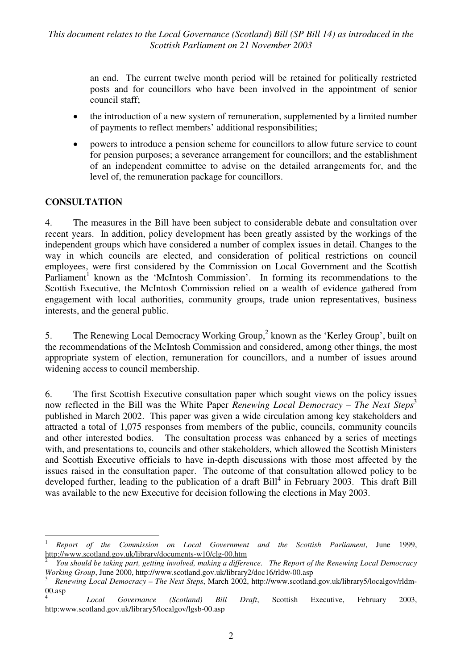an end. The current twelve month period will be retained for politically restricted posts and for councillors who have been involved in the appointment of senior council staff;

- the introduction of a new system of remuneration, supplemented by a limited number of payments to reflect members' additional responsibilities;
- powers to introduce a pension scheme for councillors to allow future service to count for pension purposes; a severance arrangement for councillors; and the establishment of an independent committee to advise on the detailed arrangements for, and the level of, the remuneration package for councillors.

#### **CONSULTATION**

4. The measures in the Bill have been subject to considerable debate and consultation over recent years. In addition, policy development has been greatly assisted by the workings of the independent groups which have considered a number of complex issues in detail. Changes to the way in which councils are elected, and consideration of political restrictions on council employees, were first considered by the Commission on Local Government and the Scottish Parliament<sup>1</sup> known as the 'McIntosh Commission'. In forming its recommendations to the Scottish Executive, the McIntosh Commission relied on a wealth of evidence gathered from engagement with local authorities, community groups, trade union representatives, business interests, and the general public.

5. The Renewing Local Democracy Working Group,<sup>2</sup> known as the 'Kerley Group', built on the recommendations of the McIntosh Commission and considered, among other things, the most appropriate system of election, remuneration for councillors, and a number of issues around widening access to council membership.

6. The first Scottish Executive consultation paper which sought views on the policy issues now reflected in the Bill was the White Paper *Renewing Local Democracy – The Next Steps*<sup>3</sup> published in March 2002. This paper was given a wide circulation among key stakeholders and attracted a total of 1,075 responses from members of the public, councils, community councils and other interested bodies. The consultation process was enhanced by a series of meetings with, and presentations to, councils and other stakeholders, which allowed the Scottish Ministers and Scottish Executive officials to have in-depth discussions with those most affected by the issues raised in the consultation paper. The outcome of that consultation allowed policy to be developed further, leading to the publication of a draft Bill<sup>4</sup> in February 2003. This draft Bill was available to the new Executive for decision following the elections in May 2003.

 $\overline{a}$ <sup>1</sup> *Report of the Commission on Local Government and the Scottish Parliament*, June 1999, http://www.scotland.gov.uk/library/documents-w10/clg-00.htm 2

*You should be taking part, getting involved, making a difference. The Report of the Renewing Local Democracy Working Group*, June 2000, http://www.scotland.gov.uk/library2/doc16/rldw-00.asp 3

*Renewing Local Democracy – The Next Steps*, March 2002, http://www.scotland.gov.uk/library5/localgov/rldm-00.asp

<sup>4</sup> *Local Governance (Scotland) Bill Draft*, Scottish Executive, February 2003, http:www.scotland.gov.uk/library5/localgov/lgsb-00.asp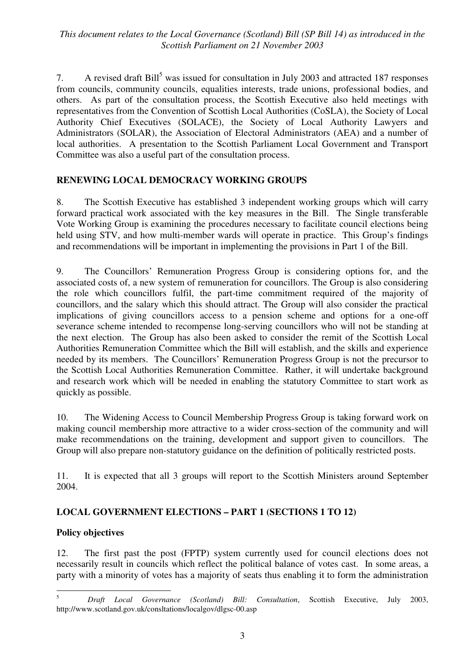7. A revised draft  $\text{Bill}^5$  was issued for consultation in July 2003 and attracted 187 responses from councils, community councils, equalities interests, trade unions, professional bodies, and others. As part of the consultation process, the Scottish Executive also held meetings with representatives from the Convention of Scottish Local Authorities (CoSLA), the Society of Local Authority Chief Executives (SOLACE), the Society of Local Authority Lawyers and Administrators (SOLAR), the Association of Electoral Administrators (AEA) and a number of local authorities. A presentation to the Scottish Parliament Local Government and Transport Committee was also a useful part of the consultation process.

## **RENEWING LOCAL DEMOCRACY WORKING GROUPS**

8. The Scottish Executive has established 3 independent working groups which will carry forward practical work associated with the key measures in the Bill. The Single transferable Vote Working Group is examining the procedures necessary to facilitate council elections being held using STV, and how multi-member wards will operate in practice. This Group's findings and recommendations will be important in implementing the provisions in Part 1 of the Bill.

9. The Councillors' Remuneration Progress Group is considering options for, and the associated costs of, a new system of remuneration for councillors. The Group is also considering the role which councillors fulfil, the part-time commitment required of the majority of councillors, and the salary which this should attract. The Group will also consider the practical implications of giving councillors access to a pension scheme and options for a one-off severance scheme intended to recompense long-serving councillors who will not be standing at the next election. The Group has also been asked to consider the remit of the Scottish Local Authorities Remuneration Committee which the Bill will establish, and the skills and experience needed by its members. The Councillors' Remuneration Progress Group is not the precursor to the Scottish Local Authorities Remuneration Committee. Rather, it will undertake background and research work which will be needed in enabling the statutory Committee to start work as quickly as possible.

10. The Widening Access to Council Membership Progress Group is taking forward work on making council membership more attractive to a wider cross-section of the community and will make recommendations on the training, development and support given to councillors. The Group will also prepare non-statutory guidance on the definition of politically restricted posts.

11. It is expected that all 3 groups will report to the Scottish Ministers around September 2004.

## **LOCAL GOVERNMENT ELECTIONS – PART 1 (SECTIONS 1 TO 12)**

#### **Policy objectives**

12. The first past the post (FPTP) system currently used for council elections does not necessarily result in councils which reflect the political balance of votes cast. In some areas, a party with a minority of votes has a majority of seats thus enabling it to form the administration

 5 *Draft Local Governance (Scotland) Bill: Consultation*, Scottish Executive, July 2003, http://www.scotland.gov.uk/consltations/localgov/dlgsc-00.asp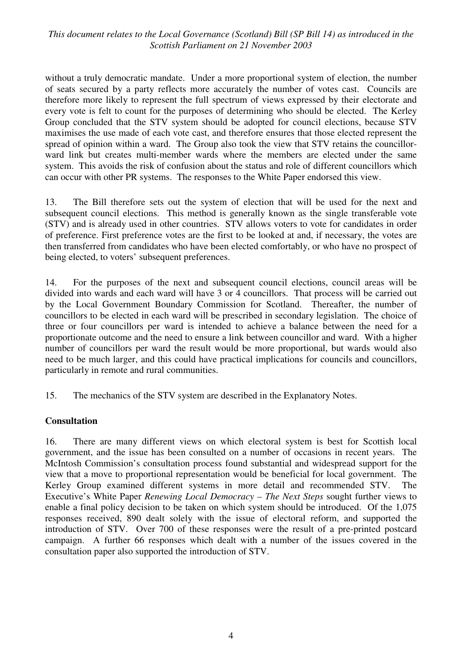without a truly democratic mandate. Under a more proportional system of election, the number of seats secured by a party reflects more accurately the number of votes cast. Councils are therefore more likely to represent the full spectrum of views expressed by their electorate and every vote is felt to count for the purposes of determining who should be elected. The Kerley Group concluded that the STV system should be adopted for council elections, because STV maximises the use made of each vote cast, and therefore ensures that those elected represent the spread of opinion within a ward. The Group also took the view that STV retains the councillorward link but creates multi-member wards where the members are elected under the same system. This avoids the risk of confusion about the status and role of different councillors which can occur with other PR systems. The responses to the White Paper endorsed this view.

13. The Bill therefore sets out the system of election that will be used for the next and subsequent council elections. This method is generally known as the single transferable vote (STV) and is already used in other countries. STV allows voters to vote for candidates in order of preference. First preference votes are the first to be looked at and, if necessary, the votes are then transferred from candidates who have been elected comfortably, or who have no prospect of being elected, to voters' subsequent preferences.

14. For the purposes of the next and subsequent council elections, council areas will be divided into wards and each ward will have 3 or 4 councillors. That process will be carried out by the Local Government Boundary Commission for Scotland. Thereafter, the number of councillors to be elected in each ward will be prescribed in secondary legislation. The choice of three or four councillors per ward is intended to achieve a balance between the need for a proportionate outcome and the need to ensure a link between councillor and ward. With a higher number of councillors per ward the result would be more proportional, but wards would also need to be much larger, and this could have practical implications for councils and councillors, particularly in remote and rural communities.

15. The mechanics of the STV system are described in the Explanatory Notes.

#### **Consultation**

16. There are many different views on which electoral system is best for Scottish local government, and the issue has been consulted on a number of occasions in recent years. The McIntosh Commission's consultation process found substantial and widespread support for the view that a move to proportional representation would be beneficial for local government. The Kerley Group examined different systems in more detail and recommended STV. The Executive's White Paper *Renewing Local Democracy – The Next Steps* sought further views to enable a final policy decision to be taken on which system should be introduced. Of the 1,075 responses received, 890 dealt solely with the issue of electoral reform, and supported the introduction of STV. Over 700 of these responses were the result of a pre-printed postcard campaign. A further 66 responses which dealt with a number of the issues covered in the consultation paper also supported the introduction of STV.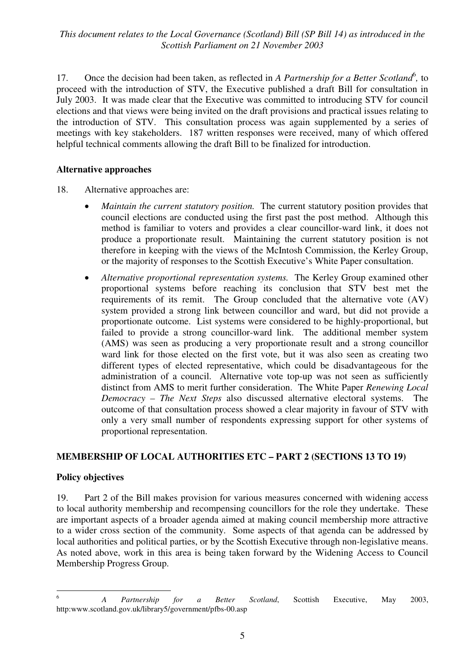17. Once the decision had been taken, as reflected in *A Partnership for a Better Scotland*<sup>6</sup>, to proceed with the introduction of STV, the Executive published a draft Bill for consultation in July 2003. It was made clear that the Executive was committed to introducing STV for council elections and that views were being invited on the draft provisions and practical issues relating to the introduction of STV. This consultation process was again supplemented by a series of meetings with key stakeholders. 187 written responses were received, many of which offered helpful technical comments allowing the draft Bill to be finalized for introduction.

#### **Alternative approaches**

- 18. Alternative approaches are:
	- *Maintain the current statutory position.* The current statutory position provides that council elections are conducted using the first past the post method. Although this method is familiar to voters and provides a clear councillor-ward link, it does not produce a proportionate result. Maintaining the current statutory position is not therefore in keeping with the views of the McIntosh Commission, the Kerley Group, or the majority of responses to the Scottish Executive's White Paper consultation.
	- *Alternative proportional representation systems.* The Kerley Group examined other proportional systems before reaching its conclusion that STV best met the requirements of its remit. The Group concluded that the alternative vote (AV) system provided a strong link between councillor and ward, but did not provide a proportionate outcome. List systems were considered to be highly-proportional, but failed to provide a strong councillor-ward link. The additional member system (AMS) was seen as producing a very proportionate result and a strong councillor ward link for those elected on the first vote, but it was also seen as creating two different types of elected representative, which could be disadvantageous for the administration of a council. Alternative vote top-up was not seen as sufficiently distinct from AMS to merit further consideration. The White Paper *Renewing Local Democracy – The Next Steps* also discussed alternative electoral systems. The outcome of that consultation process showed a clear majority in favour of STV with only a very small number of respondents expressing support for other systems of proportional representation.

#### **MEMBERSHIP OF LOCAL AUTHORITIES ETC – PART 2 (SECTIONS 13 TO 19)**

#### **Policy objectives**

19. Part 2 of the Bill makes provision for various measures concerned with widening access to local authority membership and recompensing councillors for the role they undertake. These are important aspects of a broader agenda aimed at making council membership more attractive to a wider cross section of the community. Some aspects of that agenda can be addressed by local authorities and political parties, or by the Scottish Executive through non-legislative means. As noted above, work in this area is being taken forward by the Widening Access to Council Membership Progress Group.

 6 *A Partnership for a Better Scotland*, Scottish Executive, May 2003, http:www.scotland.gov.uk/library5/government/pfbs-00.asp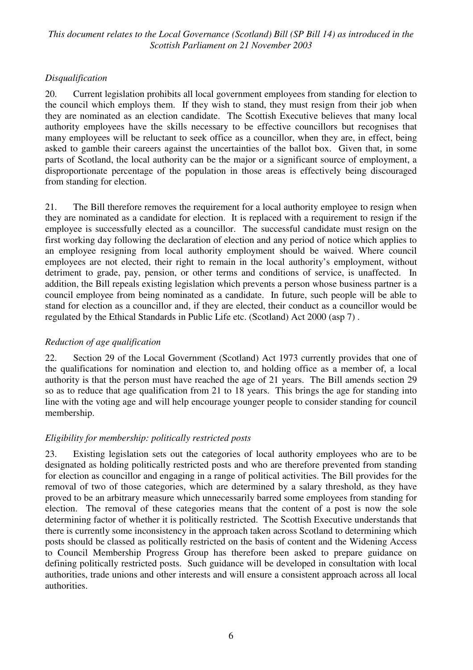## *Disqualification*

20. Current legislation prohibits all local government employees from standing for election to the council which employs them. If they wish to stand, they must resign from their job when they are nominated as an election candidate. The Scottish Executive believes that many local authority employees have the skills necessary to be effective councillors but recognises that many employees will be reluctant to seek office as a councillor, when they are, in effect, being asked to gamble their careers against the uncertainties of the ballot box. Given that, in some parts of Scotland, the local authority can be the major or a significant source of employment, a disproportionate percentage of the population in those areas is effectively being discouraged from standing for election.

21. The Bill therefore removes the requirement for a local authority employee to resign when they are nominated as a candidate for election. It is replaced with a requirement to resign if the employee is successfully elected as a councillor. The successful candidate must resign on the first working day following the declaration of election and any period of notice which applies to an employee resigning from local authority employment should be waived. Where council employees are not elected, their right to remain in the local authority's employment, without detriment to grade, pay, pension, or other terms and conditions of service, is unaffected. In addition, the Bill repeals existing legislation which prevents a person whose business partner is a council employee from being nominated as a candidate. In future, such people will be able to stand for election as a councillor and, if they are elected, their conduct as a councillor would be regulated by the Ethical Standards in Public Life etc. (Scotland) Act 2000 (asp 7) .

#### *Reduction of age qualification*

22. Section 29 of the Local Government (Scotland) Act 1973 currently provides that one of the qualifications for nomination and election to, and holding office as a member of, a local authority is that the person must have reached the age of 21 years. The Bill amends section 29 so as to reduce that age qualification from 21 to 18 years. This brings the age for standing into line with the voting age and will help encourage younger people to consider standing for council membership.

## *Eligibility for membership: politically restricted posts*

23. Existing legislation sets out the categories of local authority employees who are to be designated as holding politically restricted posts and who are therefore prevented from standing for election as councillor and engaging in a range of political activities. The Bill provides for the removal of two of those categories, which are determined by a salary threshold, as they have proved to be an arbitrary measure which unnecessarily barred some employees from standing for election. The removal of these categories means that the content of a post is now the sole determining factor of whether it is politically restricted. The Scottish Executive understands that there is currently some inconsistency in the approach taken across Scotland to determining which posts should be classed as politically restricted on the basis of content and the Widening Access to Council Membership Progress Group has therefore been asked to prepare guidance on defining politically restricted posts. Such guidance will be developed in consultation with local authorities, trade unions and other interests and will ensure a consistent approach across all local authorities.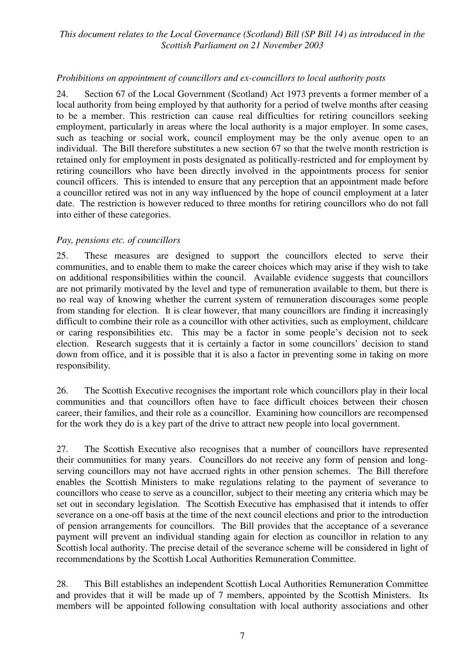#### *Prohibitions on appointment of councillors and ex-councillors to local authority posts*

24. Section 67 of the Local Government (Scotland) Act 1973 prevents a former member of a local authority from being employed by that authority for a period of twelve months after ceasing to be a member. This restriction can cause real difficulties for retiring councillors seeking employment, particularly in areas where the local authority is a major employer. In some cases, such as teaching or social work, council employment may be the only avenue open to an individual. The Bill therefore substitutes a new section 67 so that the twelve month restriction is retained only for employment in posts designated as politically-restricted and for employment by retiring councillors who have been directly involved in the appointments process for senior council officers. This is intended to ensure that any perception that an appointment made before a councillor retired was not in any way influenced by the hope of council employment at a later date. The restriction is however reduced to three months for retiring councillors who do not fall into either of these categories.

#### *Pay, pensions etc. of councillors*

25. These measures are designed to support the councillors elected to serve their communities, and to enable them to make the career choices which may arise if they wish to take on additional responsibilities within the council. Available evidence suggests that councillors are not primarily motivated by the level and type of remuneration available to them, but there is no real way of knowing whether the current system of remuneration discourages some people from standing for election. It is clear however, that many councillors are finding it increasingly difficult to combine their role as a councillor with other activities, such as employment, childcare or caring responsibilities etc. This may be a factor in some people's decision not to seek election. Research suggests that it is certainly a factor in some councillors' decision to stand down from office, and it is possible that it is also a factor in preventing some in taking on more responsibility.

26. The Scottish Executive recognises the important role which councillors play in their local communities and that councillors often have to face difficult choices between their chosen career, their families, and their role as a councillor. Examining how councillors are recompensed for the work they do is a key part of the drive to attract new people into local government.

27. The Scottish Executive also recognises that a number of councillors have represented their communities for many years. Councillors do not receive any form of pension and longserving councillors may not have accrued rights in other pension schemes. The Bill therefore enables the Scottish Ministers to make regulations relating to the payment of severance to councillors who cease to serve as a councillor, subject to their meeting any criteria which may be set out in secondary legislation. The Scottish Executive has emphasised that it intends to offer severance on a one-off basis at the time of the next council elections and prior to the introduction of pension arrangements for councillors. The Bill provides that the acceptance of a severance payment will prevent an individual standing again for election as councillor in relation to any Scottish local authority. The precise detail of the severance scheme will be considered in light of recommendations by the Scottish Local Authorities Remuneration Committee.

28. This Bill establishes an independent Scottish Local Authorities Remuneration Committee and provides that it will be made up of 7 members, appointed by the Scottish Ministers. Its members will be appointed following consultation with local authority associations and other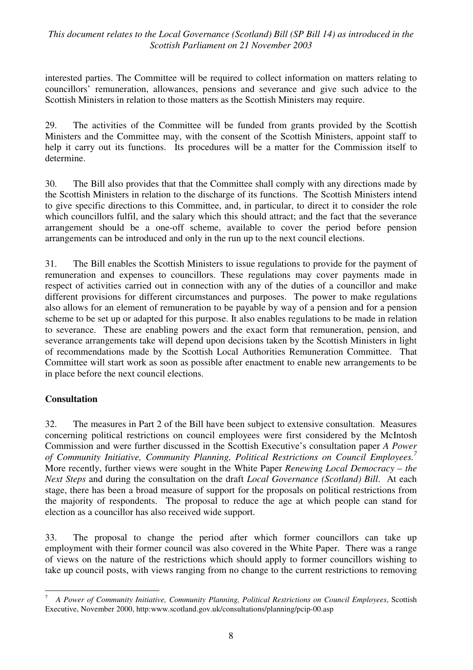interested parties. The Committee will be required to collect information on matters relating to councillors' remuneration, allowances, pensions and severance and give such advice to the Scottish Ministers in relation to those matters as the Scottish Ministers may require.

29. The activities of the Committee will be funded from grants provided by the Scottish Ministers and the Committee may, with the consent of the Scottish Ministers, appoint staff to help it carry out its functions. Its procedures will be a matter for the Commission itself to determine.

30. The Bill also provides that that the Committee shall comply with any directions made by the Scottish Ministers in relation to the discharge of its functions. The Scottish Ministers intend to give specific directions to this Committee, and, in particular, to direct it to consider the role which councillors fulfil, and the salary which this should attract; and the fact that the severance arrangement should be a one-off scheme, available to cover the period before pension arrangements can be introduced and only in the run up to the next council elections.

31. The Bill enables the Scottish Ministers to issue regulations to provide for the payment of remuneration and expenses to councillors. These regulations may cover payments made in respect of activities carried out in connection with any of the duties of a councillor and make different provisions for different circumstances and purposes. The power to make regulations also allows for an element of remuneration to be payable by way of a pension and for a pension scheme to be set up or adapted for this purpose. It also enables regulations to be made in relation to severance. These are enabling powers and the exact form that remuneration, pension, and severance arrangements take will depend upon decisions taken by the Scottish Ministers in light of recommendations made by the Scottish Local Authorities Remuneration Committee. That Committee will start work as soon as possible after enactment to enable new arrangements to be in place before the next council elections.

#### **Consultation**

32. The measures in Part 2 of the Bill have been subject to extensive consultation. Measures concerning political restrictions on council employees were first considered by the McIntosh Commission and were further discussed in the Scottish Executive's consultation paper *A Power of Community Initiative, Community Planning, Political Restrictions on Council Employees.7* More recently, further views were sought in the White Paper *Renewing Local Democracy – the Next Steps* and during the consultation on the draft *Local Governance (Scotland) Bill*. At each stage, there has been a broad measure of support for the proposals on political restrictions from the majority of respondents. The proposal to reduce the age at which people can stand for election as a councillor has also received wide support.

33. The proposal to change the period after which former councillors can take up employment with their former council was also covered in the White Paper. There was a range of views on the nature of the restrictions which should apply to former councillors wishing to take up council posts, with views ranging from no change to the current restrictions to removing

<sup>-&</sup>lt;br>7 *A Power of Community Initiative, Community Planning, Political Restrictions on Council Employees*, Scottish Executive, November 2000, http:www.scotland.gov.uk/consultations/planning/pcip-00.asp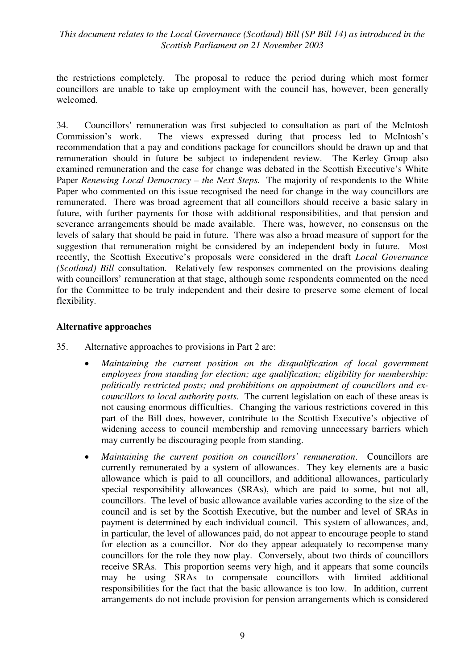the restrictions completely. The proposal to reduce the period during which most former councillors are unable to take up employment with the council has, however, been generally welcomed.

34. Councillors' remuneration was first subjected to consultation as part of the McIntosh Commission's work. The views expressed during that process led to McIntosh's recommendation that a pay and conditions package for councillors should be drawn up and that remuneration should in future be subject to independent review. The Kerley Group also examined remuneration and the case for change was debated in the Scottish Executive's White Paper *Renewing Local Democracy – the Next Steps.* The majority of respondents to the White Paper who commented on this issue recognised the need for change in the way councillors are remunerated. There was broad agreement that all councillors should receive a basic salary in future, with further payments for those with additional responsibilities, and that pension and severance arrangements should be made available. There was, however, no consensus on the levels of salary that should be paid in future. There was also a broad measure of support for the suggestion that remuneration might be considered by an independent body in future. Most recently, the Scottish Executive's proposals were considered in the draft *Local Governance (Scotland) Bill* consultation*.* Relatively few responses commented on the provisions dealing with councillors' remuneration at that stage, although some respondents commented on the need for the Committee to be truly independent and their desire to preserve some element of local flexibility.

#### **Alternative approaches**

- 35. Alternative approaches to provisions in Part 2 are:
	- *Maintaining the current position on the disqualification of local government employees from standing for election; age qualification; eligibility for membership: politically restricted posts; and prohibitions on appointment of councillors and excouncillors to local authority posts*. The current legislation on each of these areas is not causing enormous difficulties. Changing the various restrictions covered in this part of the Bill does, however, contribute to the Scottish Executive's objective of widening access to council membership and removing unnecessary barriers which may currently be discouraging people from standing.
	- *Maintaining the current position on councillors' remuneration*.Councillors are currently remunerated by a system of allowances. They key elements are a basic allowance which is paid to all councillors, and additional allowances, particularly special responsibility allowances (SRAs), which are paid to some, but not all, councillors. The level of basic allowance available varies according to the size of the council and is set by the Scottish Executive, but the number and level of SRAs in payment is determined by each individual council. This system of allowances, and, in particular, the level of allowances paid, do not appear to encourage people to stand for election as a councillor. Nor do they appear adequately to recompense many councillors for the role they now play. Conversely, about two thirds of councillors receive SRAs. This proportion seems very high, and it appears that some councils may be using SRAs to compensate councillors with limited additional responsibilities for the fact that the basic allowance is too low. In addition, current arrangements do not include provision for pension arrangements which is considered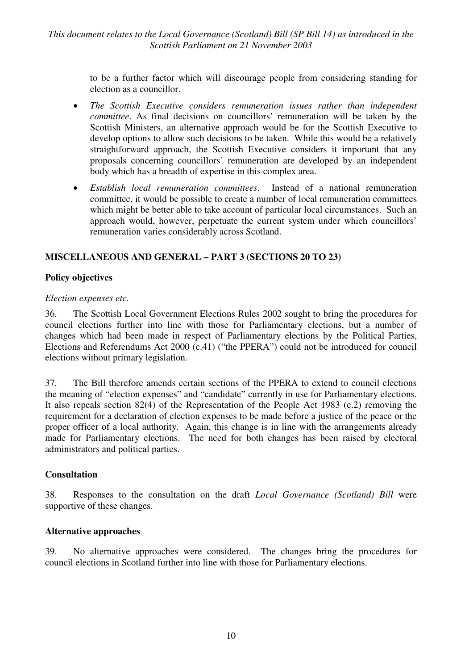> to be a further factor which will discourage people from considering standing for election as a councillor.

- *The Scottish Executive considers remuneration issues rather than independent committee*. As final decisions on councillors' remuneration will be taken by the Scottish Ministers, an alternative approach would be for the Scottish Executive to develop options to allow such decisions to be taken. While this would be a relatively straightforward approach, the Scottish Executive considers it important that any proposals concerning councillors' remuneration are developed by an independent body which has a breadth of expertise in this complex area.
- *Establish local remuneration committees*. Instead of a national remuneration committee, it would be possible to create a number of local remuneration committees which might be better able to take account of particular local circumstances. Such an approach would, however, perpetuate the current system under which councillors' remuneration varies considerably across Scotland.

#### **MISCELLANEOUS AND GENERAL – PART 3 (SECTIONS 20 TO 23)**

#### **Policy objectives**

#### *Election expenses etc.*

36. The Scottish Local Government Elections Rules 2002 sought to bring the procedures for council elections further into line with those for Parliamentary elections, but a number of changes which had been made in respect of Parliamentary elections by the Political Parties, Elections and Referendums Act 2000 (c.41) ("the PPERA") could not be introduced for council elections without primary legislation.

37. The Bill therefore amends certain sections of the PPERA to extend to council elections the meaning of "election expenses" and "candidate" currently in use for Parliamentary elections. It also repeals section 82(4) of the Representation of the People Act 1983 (c.2) removing the requirement for a declaration of election expenses to be made before a justice of the peace or the proper officer of a local authority. Again, this change is in line with the arrangements already made for Parliamentary elections. The need for both changes has been raised by electoral administrators and political parties.

#### **Consultation**

38. Responses to the consultation on the draft *Local Governance (Scotland) Bill* were supportive of these changes.

#### **Alternative approaches**

39. No alternative approaches were considered. The changes bring the procedures for council elections in Scotland further into line with those for Parliamentary elections.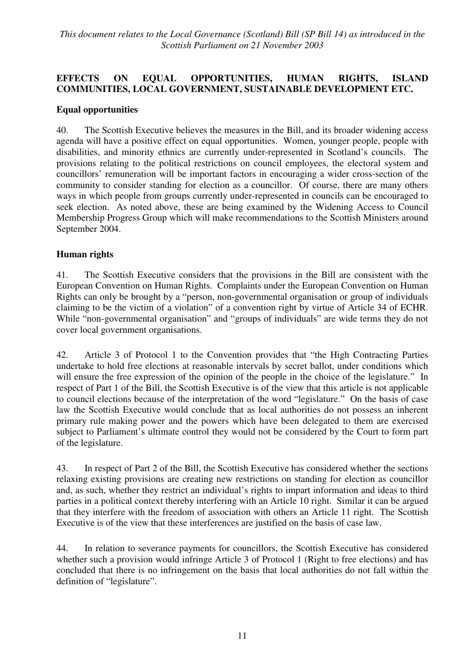## **EFFECTS ON EQUAL OPPORTUNITIES, HUMAN RIGHTS, ISLAND COMMUNITIES, LOCAL GOVERNMENT, SUSTAINABLE DEVELOPMENT ETC.**

#### **Equal opportunities**

40. The Scottish Executive believes the measures in the Bill, and its broader widening access agenda will have a positive effect on equal opportunities. Women, younger people, people with disabilities, and minority ethnics are currently under-represented in Scotland's councils. The provisions relating to the political restrictions on council employees, the electoral system and councillors' remuneration will be important factors in encouraging a wider cross-section of the community to consider standing for election as a councillor. Of course, there are many others ways in which people from groups currently under-represented in councils can be encouraged to seek election. As noted above, these are being examined by the Widening Access to Council Membership Progress Group which will make recommendations to the Scottish Ministers around September 2004.

#### **Human rights**

41. The Scottish Executive considers that the provisions in the Bill are consistent with the European Convention on Human Rights. Complaints under the European Convention on Human Rights can only be brought by a "person, non-governmental organisation or group of individuals claiming to be the victim of a violation" of a convention right by virtue of Article 34 of ECHR. While "non-governmental organisation" and "groups of individuals" are wide terms they do not cover local government organisations.

42. Article 3 of Protocol 1 to the Convention provides that "the High Contracting Parties undertake to hold free elections at reasonable intervals by secret ballot, under conditions which will ensure the free expression of the opinion of the people in the choice of the legislature." In respect of Part 1 of the Bill, the Scottish Executive is of the view that this article is not applicable to council elections because of the interpretation of the word "legislature." On the basis of case law the Scottish Executive would conclude that as local authorities do not possess an inherent primary rule making power and the powers which have been delegated to them are exercised subject to Parliament's ultimate control they would not be considered by the Court to form part of the legislature.

43. In respect of Part 2 of the Bill, the Scottish Executive has considered whether the sections relaxing existing provisions are creating new restrictions on standing for election as councillor and, as such, whether they restrict an individual's rights to impart information and ideas to third parties in a political context thereby interfering with an Article 10 right. Similar it can be argued that they interfere with the freedom of association with others an Article 11 right. The Scottish Executive is of the view that these interferences are justified on the basis of case law.

44. In relation to severance payments for councillors, the Scottish Executive has considered whether such a provision would infringe Article 3 of Protocol 1 (Right to free elections) and has concluded that there is no infringement on the basis that local authorities do not fall within the definition of "legislature".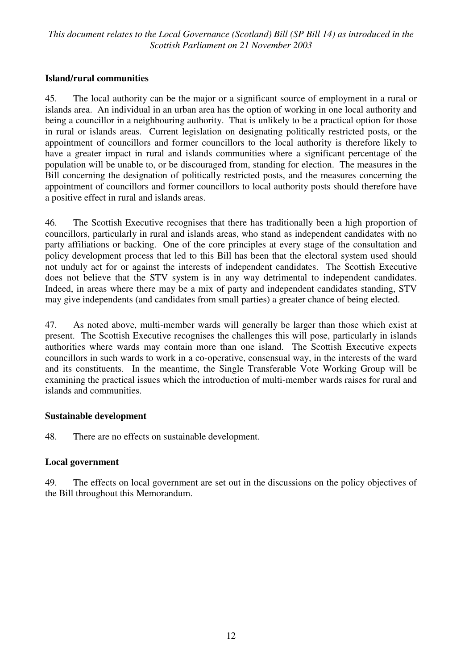#### **Island/rural communities**

45. The local authority can be the major or a significant source of employment in a rural or islands area. An individual in an urban area has the option of working in one local authority and being a councillor in a neighbouring authority. That is unlikely to be a practical option for those in rural or islands areas. Current legislation on designating politically restricted posts, or the appointment of councillors and former councillors to the local authority is therefore likely to have a greater impact in rural and islands communities where a significant percentage of the population will be unable to, or be discouraged from, standing for election. The measures in the Bill concerning the designation of politically restricted posts, and the measures concerning the appointment of councillors and former councillors to local authority posts should therefore have a positive effect in rural and islands areas.

46. The Scottish Executive recognises that there has traditionally been a high proportion of councillors, particularly in rural and islands areas, who stand as independent candidates with no party affiliations or backing. One of the core principles at every stage of the consultation and policy development process that led to this Bill has been that the electoral system used should not unduly act for or against the interests of independent candidates. The Scottish Executive does not believe that the STV system is in any way detrimental to independent candidates. Indeed, in areas where there may be a mix of party and independent candidates standing, STV may give independents (and candidates from small parties) a greater chance of being elected.

47. As noted above, multi-member wards will generally be larger than those which exist at present. The Scottish Executive recognises the challenges this will pose, particularly in islands authorities where wards may contain more than one island. The Scottish Executive expects councillors in such wards to work in a co-operative, consensual way, in the interests of the ward and its constituents. In the meantime, the Single Transferable Vote Working Group will be examining the practical issues which the introduction of multi-member wards raises for rural and islands and communities.

#### **Sustainable development**

48. There are no effects on sustainable development.

#### **Local government**

49. The effects on local government are set out in the discussions on the policy objectives of the Bill throughout this Memorandum.